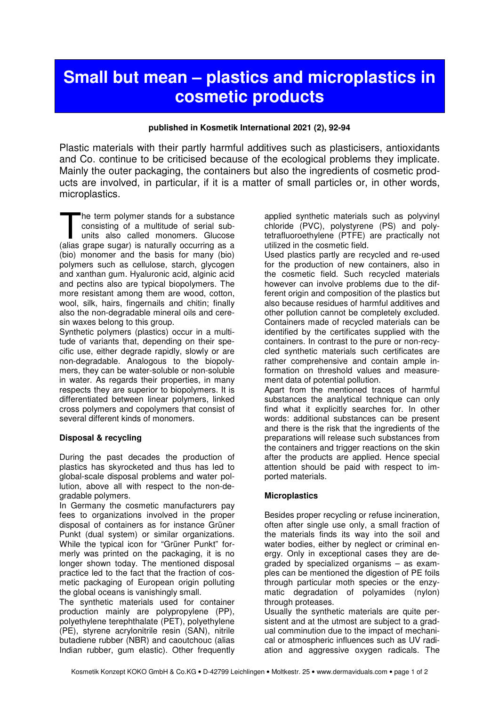# **Small but mean – plastics and microplastics in cosmetic products**

#### **published in Kosmetik International 2021 (2), 92-94**

Plastic materials with their partly harmful additives such as plasticisers, antioxidants and Co. continue to be criticised because of the ecological problems they implicate. Mainly the outer packaging, the containers but also the ingredients of cosmetic products are involved, in particular, if it is a matter of small particles or, in other words, microplastics.

he term polymer stands for a substance consisting of a multitude of serial subunits also called monomers. Glucose The term polymer stands for a substance<br>consisting of a multitude of serial sub-<br>units also called monomers. Glucose<br>(alias grape sugar) is naturally occurring as a (bio) monomer and the basis for many (bio) polymers such as cellulose, starch, glycogen and xanthan gum. Hyaluronic acid, alginic acid and pectins also are typical biopolymers. The more resistant among them are wood, cotton, wool, silk, hairs, fingernails and chitin; finally also the non-degradable mineral oils and ceresin waxes belong to this group.

Synthetic polymers (plastics) occur in a multitude of variants that, depending on their specific use, either degrade rapidly, slowly or are non-degradable. Analogous to the biopolymers, they can be water-soluble or non-soluble in water. As regards their properties, in many respects they are superior to biopolymers. It is differentiated between linear polymers, linked cross polymers and copolymers that consist of several different kinds of monomers.

#### **Disposal & recycling**

During the past decades the production of plastics has skyrocketed and thus has led to global-scale disposal problems and water pollution, above all with respect to the non-degradable polymers.

In Germany the cosmetic manufacturers pay fees to organizations involved in the proper disposal of containers as for instance Grüner Punkt (dual system) or similar organizations. While the typical icon for "Grüner Punkt" formerly was printed on the packaging, it is no longer shown today. The mentioned disposal practice led to the fact that the fraction of cosmetic packaging of European origin polluting the global oceans is vanishingly small.

The synthetic materials used for container production mainly are polypropylene (PP), polyethylene terephthalate (PET), polyethylene (PE), styrene acrylonitrile resin (SAN), nitrile butadiene rubber (NBR) and caoutchouc (alias Indian rubber, gum elastic). Other frequently applied synthetic materials such as polyvinyl chloride (PVC), polystyrene (PS) and polytetrafluoroethylene (PTFE) are practically not utilized in the cosmetic field.

Used plastics partly are recycled and re-used for the production of new containers, also in the cosmetic field. Such recycled materials however can involve problems due to the different origin and composition of the plastics but also because residues of harmful additives and other pollution cannot be completely excluded. Containers made of recycled materials can be identified by the certificates supplied with the containers. In contrast to the pure or non-recycled synthetic materials such certificates are rather comprehensive and contain ample information on threshold values and measurement data of potential pollution.

Apart from the mentioned traces of harmful substances the analytical technique can only find what it explicitly searches for. In other words: additional substances can be present and there is the risk that the ingredients of the preparations will release such substances from the containers and trigger reactions on the skin after the products are applied. Hence special attention should be paid with respect to imported materials.

## **Microplastics**

Besides proper recycling or refuse incineration, often after single use only, a small fraction of the materials finds its way into the soil and water bodies, either by neglect or criminal energy. Only in exceptional cases they are degraded by specialized organisms – as examples can be mentioned the digestion of PE foils through particular moth species or the enzymatic degradation of polyamides (nylon) through proteases.

Usually the synthetic materials are quite persistent and at the utmost are subject to a gradual comminution due to the impact of mechanical or atmospheric influences such as UV radiation and aggressive oxygen radicals. The